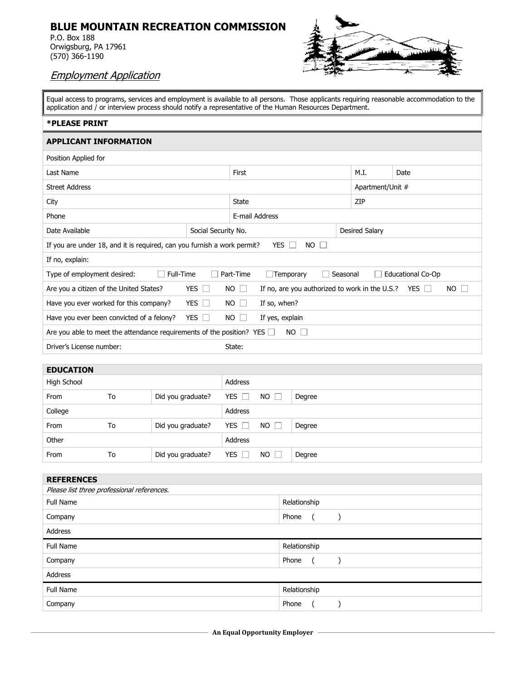# **BLUE MOUNTAIN RECREATION COMMISSION**

P.O. Box 188 Orwigsburg, PA 17961 (570) 366-1190



## Employment Application

Equal access to programs, services and employment is available to all persons. Those applicants requiring reasonable accommodation to the application and / or interview process should notify a representative of the Human Resources Department.

### **\*PLEASE PRINT**

### **APPLICANT INFORMATION**

| Position Applied for                                                                                                                  |                |                     |                 |                  |                |  |  |
|---------------------------------------------------------------------------------------------------------------------------------------|----------------|---------------------|-----------------|------------------|----------------|--|--|
| Last Name                                                                                                                             | First          |                     |                 | M.I.             | Date           |  |  |
| <b>Street Address</b>                                                                                                                 |                |                     |                 | Apartment/Unit # |                |  |  |
| City                                                                                                                                  | State          |                     |                 | ZIP              |                |  |  |
| Phone                                                                                                                                 | E-mail Address |                     |                 |                  |                |  |  |
| Date Available                                                                                                                        |                | Social Security No. |                 |                  | Desired Salary |  |  |
| If you are under 18, and it is required, can you furnish a work permit?<br>YES $\Box$<br>$NO$ $\Box$                                  |                |                     |                 |                  |                |  |  |
| If no, explain:                                                                                                                       |                |                     |                 |                  |                |  |  |
| Type of employment desired:<br>Full-Time<br>Part-Time<br><b>Educational Co-Op</b><br>Seasonal<br>$\Box$ Temporary                     |                |                     |                 |                  |                |  |  |
| YES $\Box$<br>Are you a citizen of the United States?<br>$NO \Box$<br>If no, are you authorized to work in the U.S.?<br>NO.<br>YES II |                |                     |                 |                  |                |  |  |
| YES<br>Have you ever worked for this company?<br>$NO$ $\Box$<br>If so, when?                                                          |                |                     |                 |                  |                |  |  |
| Have you ever been convicted of a felony?                                                                                             | YES $\Box$     | $NO$ $\Box$         | If yes, explain |                  |                |  |  |
| Are you able to meet the attendance requirements of the position? YES $\Box$<br>NO.<br>$\mathbf{1}$                                   |                |                     |                 |                  |                |  |  |
| Driver's License number:                                                                                                              |                | State:              |                 |                  |                |  |  |

# **EDUCATION**

| EDUCATION   |    |                   |            |      |        |
|-------------|----|-------------------|------------|------|--------|
| High School |    |                   | Address    |      |        |
| From        | To | Did you graduate? | YES $\Box$ | NO I | Degree |
| College     |    |                   | Address    |      |        |
| From        | To | Did you graduate? | YES $\Box$ | NO I | Degree |
| Other       |    |                   | Address    |      |        |
| From        | To | Did you graduate? | YES $\Box$ | NO . | Degree |

# **REFERENCES** Please list three professional references. Full Name Relationship Company Phone ( ) Address Full Name Relationship Company Phone ( ) Address Full Name Relationship Company Phone ( )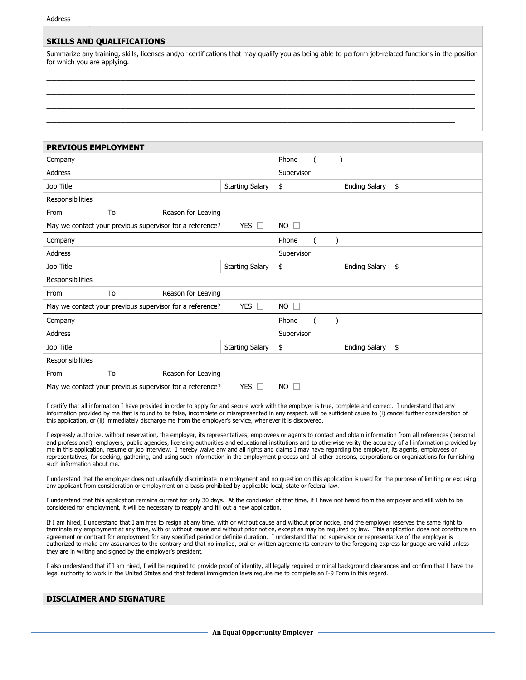### **SKILLS AND QUALIFICATIONS**

Summarize any training, skills, licenses and/or certifications that may qualify you as being able to perform job-related functions in the position for which you are applying.

**\_\_\_\_\_\_\_\_\_\_\_\_\_\_\_\_\_\_\_\_\_\_\_\_\_\_\_\_\_\_\_\_\_\_\_\_\_\_\_\_\_\_\_\_\_\_\_\_\_\_\_\_\_\_\_\_\_\_\_\_\_\_\_\_\_\_\_\_\_\_\_\_\_\_\_\_\_\_\_\_\_\_\_\_\_\_\_ \_\_\_\_\_\_\_\_\_\_\_\_\_\_\_\_\_\_\_\_\_\_\_\_\_\_\_\_\_\_\_\_\_\_\_\_\_\_\_\_\_\_\_\_\_\_\_\_\_\_\_\_\_\_\_\_\_\_\_\_\_\_\_\_\_\_\_\_\_\_\_\_\_\_\_\_\_\_\_\_\_\_\_\_\_\_\_ \_\_\_\_\_\_\_\_\_\_\_\_\_\_\_\_\_\_\_\_\_\_\_\_\_\_\_\_\_\_\_\_\_\_\_\_\_\_\_\_\_\_\_\_\_\_\_\_\_\_\_\_\_\_\_\_\_\_\_\_\_\_\_\_\_\_\_\_\_\_\_\_\_\_\_\_\_\_\_\_\_\_\_\_\_\_\_**

**\_\_\_\_\_\_\_\_\_\_\_\_\_\_\_\_\_\_\_\_\_\_\_\_\_\_\_\_\_\_\_\_\_\_\_\_\_\_\_\_\_\_\_\_\_\_\_\_\_\_\_\_\_\_\_\_\_\_\_\_\_\_\_\_\_\_\_\_\_\_\_\_\_\_\_\_\_\_\_\_\_\_\_**

### **PREVIOUS EMPLOYMENT**

| <u>PREVIUUS EMPLUTMENI</u>                                                                              |                        |                    |       |            |                      |                      |    |  |  |
|---------------------------------------------------------------------------------------------------------|------------------------|--------------------|-------|------------|----------------------|----------------------|----|--|--|
| Company                                                                                                 |                        |                    |       | Phone      |                      |                      |    |  |  |
| Address                                                                                                 |                        |                    |       | Supervisor |                      |                      |    |  |  |
| Job Title<br><b>Starting Salary</b>                                                                     |                        |                    | \$    |            | <b>Ending Salary</b> | \$                   |    |  |  |
| Responsibilities                                                                                        |                        |                    |       |            |                      |                      |    |  |  |
| From                                                                                                    | To                     | Reason for Leaving |       |            |                      |                      |    |  |  |
| $NO$ $\Box$<br>YES $\square$<br>May we contact your previous supervisor for a reference?                |                        |                    |       |            |                      |                      |    |  |  |
| Company                                                                                                 |                        |                    | Phone |            |                      |                      |    |  |  |
| Address                                                                                                 |                        |                    |       |            | Supervisor           |                      |    |  |  |
| Job Title                                                                                               | <b>Starting Salary</b> |                    |       | \$         |                      | <b>Ending Salary</b> | \$ |  |  |
| Responsibilities                                                                                        |                        |                    |       |            |                      |                      |    |  |  |
| From                                                                                                    | To                     | Reason for Leaving |       |            |                      |                      |    |  |  |
| May we contact your previous supervisor for a reference?<br><b>YES</b><br>$NO$ $\Box$<br>$\mathbb{R}^n$ |                        |                    |       |            |                      |                      |    |  |  |
| Company                                                                                                 |                        |                    |       | Phone      |                      |                      |    |  |  |
| Address                                                                                                 |                        |                    |       | Supervisor |                      |                      |    |  |  |
| Job Title<br><b>Starting Salary</b>                                                                     |                        |                    | \$    |            | <b>Ending Salary</b> | \$                   |    |  |  |
| Responsibilities                                                                                        |                        |                    |       |            |                      |                      |    |  |  |
| From                                                                                                    | To                     | Reason for Leaving |       |            |                      |                      |    |  |  |
| May we contact your previous supervisor for a reference?<br><b>YES</b><br>$NO$ $\Box$<br>$\perp$        |                        |                    |       |            |                      |                      |    |  |  |
|                                                                                                         |                        |                    |       |            |                      |                      |    |  |  |

I certify that all information I have provided in order to apply for and secure work with the employer is true, complete and correct. I understand that any information provided by me that is found to be false, incomplete or misrepresented in any respect, will be sufficient cause to (i) cancel further consideration of this application, or (ii) immediately discharge me from the employer's service, whenever it is discovered.

I expressly authorize, without reservation, the employer, its representatives, employees or agents to contact and obtain information from all references (personal and professional), employers, public agencies, licensing authorities and educational institutions and to otherwise verity the accuracy of all information provided by me in this application, resume or job interview. I hereby waive any and all rights and claims I may have regarding the employer, its agents, employees or representatives, for seeking, gathering, and using such information in the employment process and all other persons, corporations or organizations for furnishing such information about me.

I understand that the employer does not unlawfully discriminate in employment and no question on this application is used for the purpose of limiting or excusing any applicant from consideration or employment on a basis prohibited by applicable local, state or federal law.

I understand that this application remains current for only 30 days. At the conclusion of that time, if I have not heard from the employer and still wish to be considered for employment, it will be necessary to reapply and fill out a new application.

If I am hired, I understand that I am free to resign at any time, with or without cause and without prior notice, and the employer reserves the same right to terminate my employment at any time, with or without cause and without prior notice, except as may be required by law. This application does not constitute an agreement or contract for employment for any specified period or definite duration. I understand that no supervisor or representative of the employer is authorized to make any assurances to the contrary and that no implied, oral or written agreements contrary to the foregoing express language are valid unless they are in writing and signed by the employer's president.

I also understand that if I am hired, I will be required to provide proof of identity, all legally required criminal background clearances and confirm that I have the legal authority to work in the United States and that federal immigration laws require me to complete an I-9 Form in this regard.

### **DISCLAIMER AND SIGNATURE**